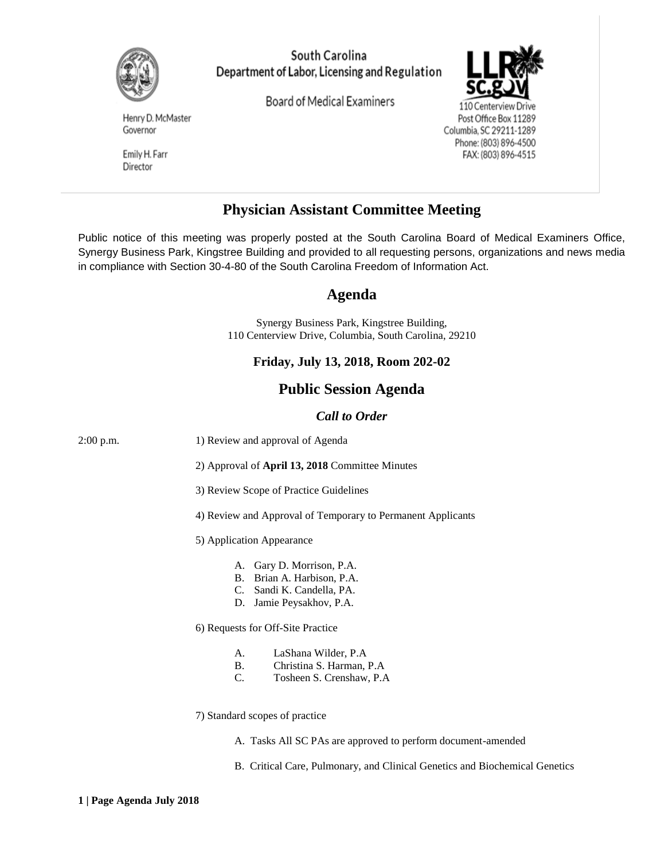

South Carolina Department of Labor, Licensing and Regulation

**Board of Medical Examiners** 



Drive Post Office Box 11289 Columbia, SC 29211-1289 Phone: (803) 896-4500 FAX: (803) 896-4515

Henry D. McMaster Governor

Emily H. Farr Director

# **Physician Assistant Committee Meeting**

Public notice of this meeting was properly posted at the South Carolina Board of Medical Examiners Office, Synergy Business Park, Kingstree Building and provided to all requesting persons, organizations and news media in compliance with Section 30-4-80 of the South Carolina Freedom of Information Act.

## **Agenda**

Synergy Business Park, Kingstree Building, 110 Centerview Drive, Columbia, South Carolina, 29210

### **Friday, July 13, 2018, Room 202-02**

### **Public Session Agenda**

#### *Call to Order*

| 2:00 p.m. | 1) Review and approval of Agenda                                                                                 |
|-----------|------------------------------------------------------------------------------------------------------------------|
|           | 2) Approval of April 13, 2018 Committee Minutes                                                                  |
|           | 3) Review Scope of Practice Guidelines                                                                           |
|           | 4) Review and Approval of Temporary to Permanent Applicants                                                      |
|           | 5) Application Appearance                                                                                        |
|           | A. Gary D. Morrison, P.A.<br>B. Brian A. Harbison, P.A.<br>C. Sandi K. Candella, PA.<br>D. Jamie Peysakhov, P.A. |
|           | 6) Requests for Off-Site Practice                                                                                |
|           | LaShana Wilder, P.A<br>A.<br>Christina S. Harman, P.A.<br><b>B.</b><br>C.<br>Tosheen S. Crenshaw, P.A.           |
|           | 7) Standard scopes of practice                                                                                   |
|           | A. Tasks All SC PAs are approved to perform document-amended                                                     |
|           | B. Critical Care, Pulmonary, and Clinical Genetics and Biochemical Genetics                                      |